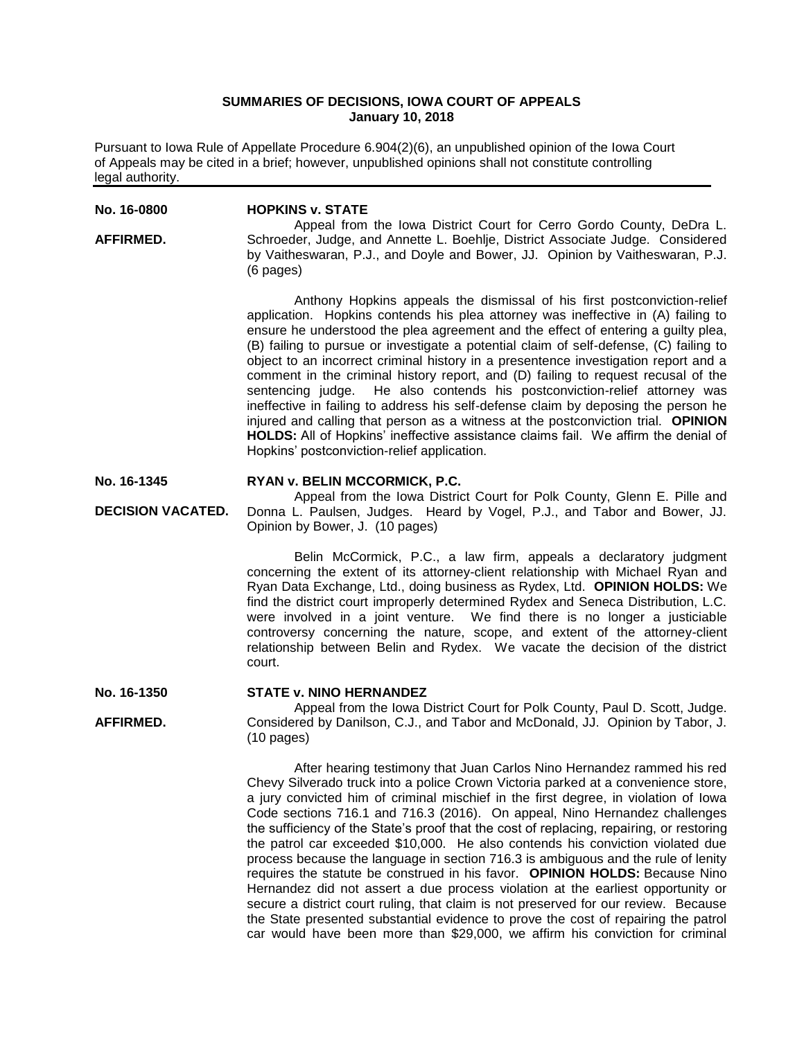# **SUMMARIES OF DECISIONS, IOWA COURT OF APPEALS January 10, 2018**

Pursuant to Iowa Rule of Appellate Procedure 6.904(2)(6), an unpublished opinion of the Iowa Court of Appeals may be cited in a brief; however, unpublished opinions shall not constitute controlling legal authority.

**No. 16-0800 AFFIRMED. HOPKINS v. STATE** Appeal from the Iowa District Court for Cerro Gordo County, DeDra L. Schroeder, Judge, and Annette L. Boehlje, District Associate Judge. Considered by Vaitheswaran, P.J., and Doyle and Bower, JJ. Opinion by Vaitheswaran, P.J. (6 pages) Anthony Hopkins appeals the dismissal of his first postconviction-relief application. Hopkins contends his plea attorney was ineffective in (A) failing to ensure he understood the plea agreement and the effect of entering a guilty plea, (B) failing to pursue or investigate a potential claim of self-defense, (C) failing to object to an incorrect criminal history in a presentence investigation report and a comment in the criminal history report, and (D) failing to request recusal of the sentencing judge. He also contends his postconviction-relief attorney was ineffective in failing to address his self-defense claim by deposing the person he injured and calling that person as a witness at the postconviction trial. **OPINION HOLDS:** All of Hopkins' ineffective assistance claims fail. We affirm the denial of Hopkins' postconviction-relief application. **No. 16-1345 DECISION VACATED. RYAN v. BELIN MCCORMICK, P.C.** Appeal from the Iowa District Court for Polk County, Glenn E. Pille and Donna L. Paulsen, Judges. Heard by Vogel, P.J., and Tabor and Bower, JJ. Opinion by Bower, J. (10 pages) Belin McCormick, P.C., a law firm, appeals a declaratory judgment concerning the extent of its attorney-client relationship with Michael Ryan and

Ryan Data Exchange, Ltd., doing business as Rydex, Ltd. **OPINION HOLDS:** We find the district court improperly determined Rydex and Seneca Distribution, L.C. were involved in a joint venture. We find there is no longer a justiciable controversy concerning the nature, scope, and extent of the attorney-client relationship between Belin and Rydex. We vacate the decision of the district court.

#### **No. 16-1350 STATE v. NINO HERNANDEZ**

**AFFIRMED.**

Appeal from the Iowa District Court for Polk County, Paul D. Scott, Judge. Considered by Danilson, C.J., and Tabor and McDonald, JJ. Opinion by Tabor, J. (10 pages)

After hearing testimony that Juan Carlos Nino Hernandez rammed his red Chevy Silverado truck into a police Crown Victoria parked at a convenience store, a jury convicted him of criminal mischief in the first degree, in violation of Iowa Code sections 716.1 and 716.3 (2016). On appeal, Nino Hernandez challenges the sufficiency of the State's proof that the cost of replacing, repairing, or restoring the patrol car exceeded \$10,000. He also contends his conviction violated due process because the language in section 716.3 is ambiguous and the rule of lenity requires the statute be construed in his favor. **OPINION HOLDS:** Because Nino Hernandez did not assert a due process violation at the earliest opportunity or secure a district court ruling, that claim is not preserved for our review. Because the State presented substantial evidence to prove the cost of repairing the patrol car would have been more than \$29,000, we affirm his conviction for criminal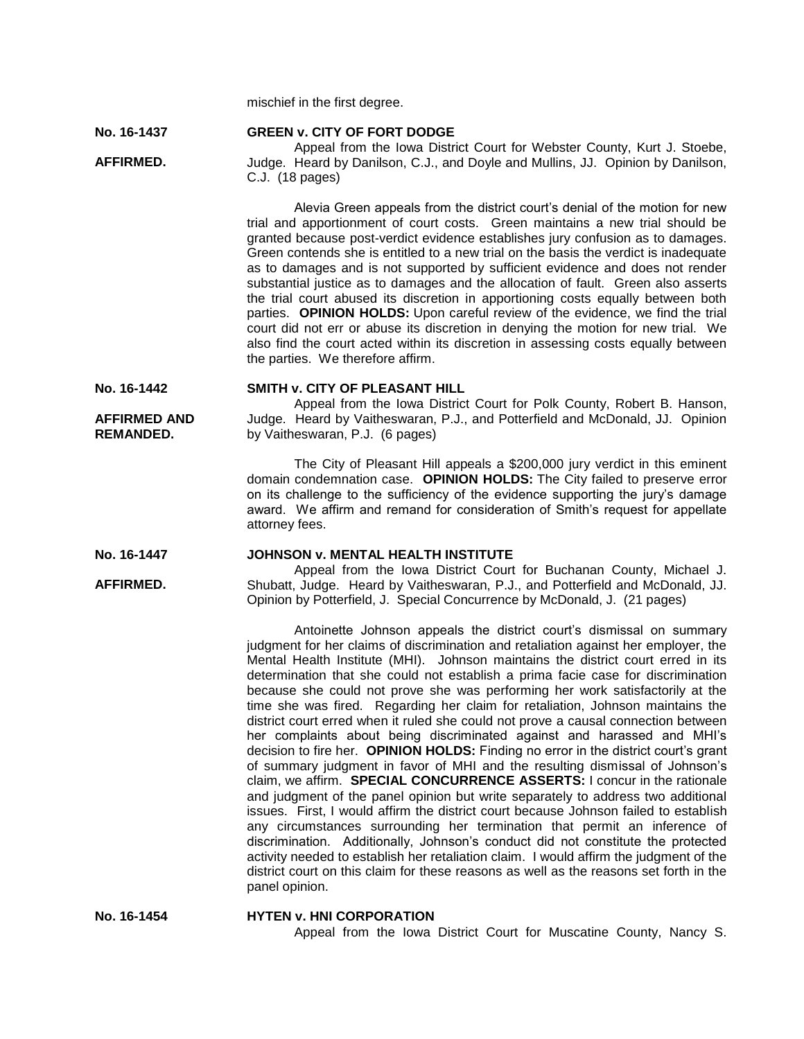mischief in the first degree.

#### **No. 16-1437 GREEN v. CITY OF FORT DODGE**

**AFFIRMED.**

**AFFIRMED AND REMANDED.**

**AFFIRMED.**

Appeal from the Iowa District Court for Webster County, Kurt J. Stoebe, Judge. Heard by Danilson, C.J., and Doyle and Mullins, JJ. Opinion by Danilson, C.J. (18 pages)

Alevia Green appeals from the district court's denial of the motion for new trial and apportionment of court costs. Green maintains a new trial should be granted because post-verdict evidence establishes jury confusion as to damages. Green contends she is entitled to a new trial on the basis the verdict is inadequate as to damages and is not supported by sufficient evidence and does not render substantial justice as to damages and the allocation of fault. Green also asserts the trial court abused its discretion in apportioning costs equally between both parties. **OPINION HOLDS:** Upon careful review of the evidence, we find the trial court did not err or abuse its discretion in denying the motion for new trial. We also find the court acted within its discretion in assessing costs equally between the parties. We therefore affirm.

#### **No. 16-1442 SMITH v. CITY OF PLEASANT HILL**

Appeal from the Iowa District Court for Polk County, Robert B. Hanson, Judge. Heard by Vaitheswaran, P.J., and Potterfield and McDonald, JJ. Opinion by Vaitheswaran, P.J. (6 pages)

The City of Pleasant Hill appeals a \$200,000 jury verdict in this eminent domain condemnation case. **OPINION HOLDS:** The City failed to preserve error on its challenge to the sufficiency of the evidence supporting the jury's damage award. We affirm and remand for consideration of Smith's request for appellate attorney fees.

#### **No. 16-1447 JOHNSON v. MENTAL HEALTH INSTITUTE**

Appeal from the Iowa District Court for Buchanan County, Michael J. Shubatt, Judge. Heard by Vaitheswaran, P.J., and Potterfield and McDonald, JJ. Opinion by Potterfield, J. Special Concurrence by McDonald, J. (21 pages)

Antoinette Johnson appeals the district court's dismissal on summary judgment for her claims of discrimination and retaliation against her employer, the Mental Health Institute (MHI). Johnson maintains the district court erred in its determination that she could not establish a prima facie case for discrimination because she could not prove she was performing her work satisfactorily at the time she was fired. Regarding her claim for retaliation, Johnson maintains the district court erred when it ruled she could not prove a causal connection between her complaints about being discriminated against and harassed and MHI's decision to fire her. **OPINION HOLDS:** Finding no error in the district court's grant of summary judgment in favor of MHI and the resulting dismissal of Johnson's claim, we affirm. **SPECIAL CONCURRENCE ASSERTS:** I concur in the rationale and judgment of the panel opinion but write separately to address two additional issues. First, I would affirm the district court because Johnson failed to establish any circumstances surrounding her termination that permit an inference of discrimination. Additionally, Johnson's conduct did not constitute the protected activity needed to establish her retaliation claim. I would affirm the judgment of the district court on this claim for these reasons as well as the reasons set forth in the panel opinion.

**No. 16-1454 HYTEN v. HNI CORPORATION** Appeal from the Iowa District Court for Muscatine County, Nancy S.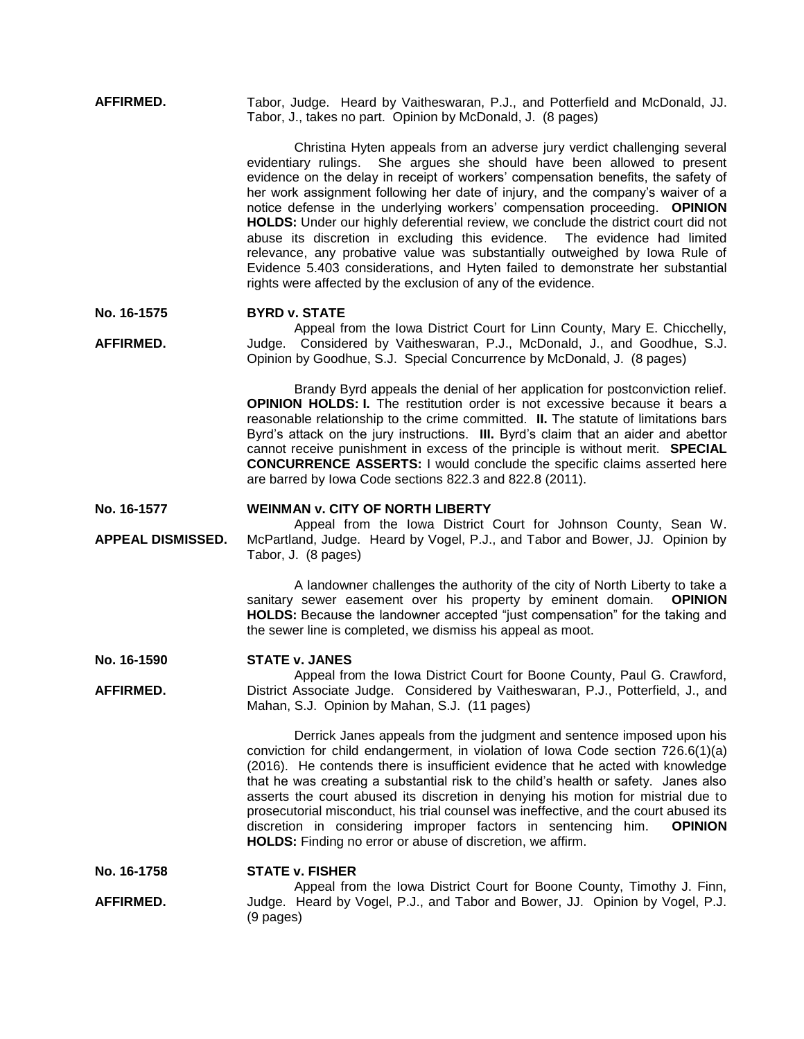**AFFIRMED.** Tabor, Judge. Heard by Vaitheswaran, P.J., and Potterfield and McDonald, JJ. Tabor, J., takes no part. Opinion by McDonald, J. (8 pages)

> Christina Hyten appeals from an adverse jury verdict challenging several evidentiary rulings. She argues she should have been allowed to present evidence on the delay in receipt of workers' compensation benefits, the safety of her work assignment following her date of injury, and the company's waiver of a notice defense in the underlying workers' compensation proceeding. **OPINION HOLDS:** Under our highly deferential review, we conclude the district court did not abuse its discretion in excluding this evidence. The evidence had limited relevance, any probative value was substantially outweighed by Iowa Rule of Evidence 5.403 considerations, and Hyten failed to demonstrate her substantial rights were affected by the exclusion of any of the evidence.

#### **No. 16-1575 BYRD v. STATE**

**AFFIRMED.** Appeal from the Iowa District Court for Linn County, Mary E. Chicchelly, Judge. Considered by Vaitheswaran, P.J., McDonald, J., and Goodhue, S.J. Opinion by Goodhue, S.J. Special Concurrence by McDonald, J. (8 pages)

> Brandy Byrd appeals the denial of her application for postconviction relief. **OPINION HOLDS: I.** The restitution order is not excessive because it bears a reasonable relationship to the crime committed. **II.** The statute of limitations bars Byrd's attack on the jury instructions. **III.** Byrd's claim that an aider and abettor cannot receive punishment in excess of the principle is without merit. **SPECIAL CONCURRENCE ASSERTS:** I would conclude the specific claims asserted here are barred by Iowa Code sections 822.3 and 822.8 (2011).

#### **No. 16-1577 WEINMAN v. CITY OF NORTH LIBERTY**

**APPEAL DISMISSED.** Appeal from the Iowa District Court for Johnson County, Sean W. McPartland, Judge. Heard by Vogel, P.J., and Tabor and Bower, JJ. Opinion by Tabor, J. (8 pages)

> A landowner challenges the authority of the city of North Liberty to take a sanitary sewer easement over his property by eminent domain. **OPINION HOLDS:** Because the landowner accepted "just compensation" for the taking and the sewer line is completed, we dismiss his appeal as moot.

#### **No. 16-1590 STATE v. JANES**

**AFFIRMED.** Appeal from the Iowa District Court for Boone County, Paul G. Crawford, District Associate Judge. Considered by Vaitheswaran, P.J., Potterfield, J., and Mahan, S.J. Opinion by Mahan, S.J. (11 pages)

> Derrick Janes appeals from the judgment and sentence imposed upon his conviction for child endangerment, in violation of Iowa Code section 726.6(1)(a) (2016). He contends there is insufficient evidence that he acted with knowledge that he was creating a substantial risk to the child's health or safety. Janes also asserts the court abused its discretion in denying his motion for mistrial due to prosecutorial misconduct, his trial counsel was ineffective, and the court abused its discretion in considering improper factors in sentencing him. **OPINION HOLDS:** Finding no error or abuse of discretion, we affirm.

#### **No. 16-1758 STATE v. FISHER**

**AFFIRMED.** Appeal from the Iowa District Court for Boone County, Timothy J. Finn, Judge. Heard by Vogel, P.J., and Tabor and Bower, JJ. Opinion by Vogel, P.J. (9 pages)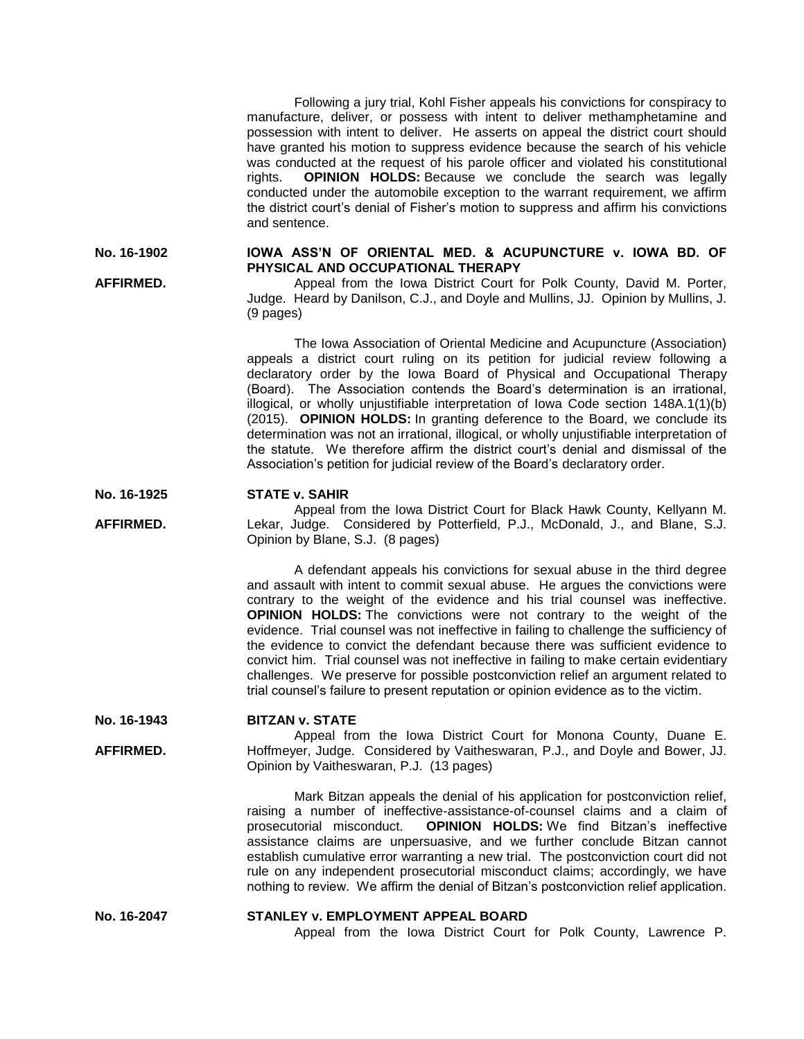Following a jury trial, Kohl Fisher appeals his convictions for conspiracy to manufacture, deliver, or possess with intent to deliver methamphetamine and possession with intent to deliver. He asserts on appeal the district court should have granted his motion to suppress evidence because the search of his vehicle was conducted at the request of his parole officer and violated his constitutional rights. **OPINION HOLDS:** Because we conclude the search was legally conducted under the automobile exception to the warrant requirement, we affirm the district court's denial of Fisher's motion to suppress and affirm his convictions and sentence.

### **No. 16-1902 IOWA ASS'N OF ORIENTAL MED. & ACUPUNCTURE v. IOWA BD. OF PHYSICAL AND OCCUPATIONAL THERAPY**

Appeal from the Iowa District Court for Polk County, David M. Porter, Judge. Heard by Danilson, C.J., and Doyle and Mullins, JJ. Opinion by Mullins, J. (9 pages)

The Iowa Association of Oriental Medicine and Acupuncture (Association) appeals a district court ruling on its petition for judicial review following a declaratory order by the Iowa Board of Physical and Occupational Therapy (Board). The Association contends the Board's determination is an irrational, illogical, or wholly unjustifiable interpretation of Iowa Code section 148A.1(1)(b) (2015). **OPINION HOLDS:** In granting deference to the Board, we conclude its determination was not an irrational, illogical, or wholly unjustifiable interpretation of the statute. We therefore affirm the district court's denial and dismissal of the Association's petition for judicial review of the Board's declaratory order.

#### **No. 16-1925 STATE v. SAHIR**

**AFFIRMED.**

**AFFIRMED.** Appeal from the Iowa District Court for Black Hawk County, Kellyann M. Lekar, Judge. Considered by Potterfield, P.J., McDonald, J., and Blane, S.J. Opinion by Blane, S.J. (8 pages)

> A defendant appeals his convictions for sexual abuse in the third degree and assault with intent to commit sexual abuse. He argues the convictions were contrary to the weight of the evidence and his trial counsel was ineffective. **OPINION HOLDS:** The convictions were not contrary to the weight of the evidence. Trial counsel was not ineffective in failing to challenge the sufficiency of the evidence to convict the defendant because there was sufficient evidence to convict him. Trial counsel was not ineffective in failing to make certain evidentiary challenges. We preserve for possible postconviction relief an argument related to trial counsel's failure to present reputation or opinion evidence as to the victim.

#### **No. 16-1943 BITZAN v. STATE**

**AFFIRMED.** Appeal from the Iowa District Court for Monona County, Duane E. Hoffmeyer, Judge. Considered by Vaitheswaran, P.J., and Doyle and Bower, JJ. Opinion by Vaitheswaran, P.J. (13 pages)

> Mark Bitzan appeals the denial of his application for postconviction relief, raising a number of ineffective-assistance-of-counsel claims and a claim of prosecutorial misconduct. **OPINION HOLDS:** We find Bitzan's ineffective assistance claims are unpersuasive, and we further conclude Bitzan cannot establish cumulative error warranting a new trial. The postconviction court did not rule on any independent prosecutorial misconduct claims; accordingly, we have nothing to review. We affirm the denial of Bitzan's postconviction relief application.

# **No. 16-2047 STANLEY v. EMPLOYMENT APPEAL BOARD**

Appeal from the Iowa District Court for Polk County, Lawrence P.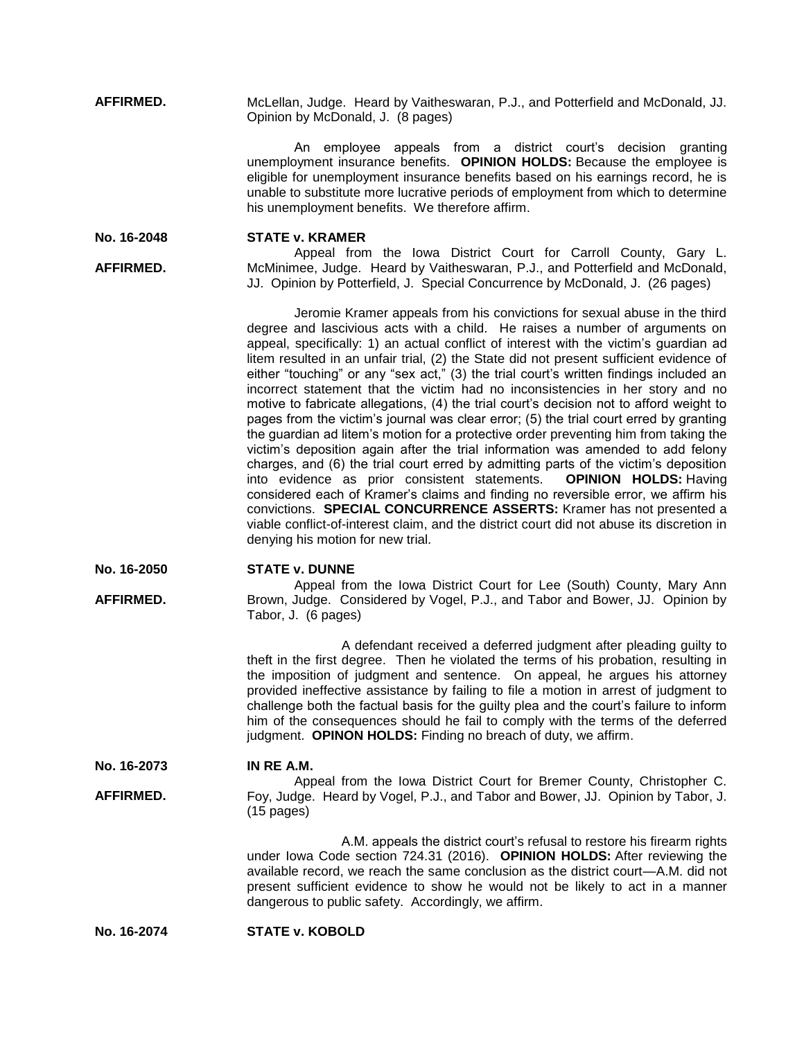**AFFIRMED.** McLellan, Judge. Heard by Vaitheswaran, P.J., and Potterfield and McDonald, JJ. Opinion by McDonald, J. (8 pages)

> An employee appeals from a district court's decision granting unemployment insurance benefits. **OPINION HOLDS:** Because the employee is eligible for unemployment insurance benefits based on his earnings record, he is unable to substitute more lucrative periods of employment from which to determine his unemployment benefits. We therefore affirm.

**No. 16-2048 STATE v. KRAMER**

**AFFIRMED.** Appeal from the Iowa District Court for Carroll County, Gary L. McMinimee, Judge. Heard by Vaitheswaran, P.J., and Potterfield and McDonald, JJ. Opinion by Potterfield, J. Special Concurrence by McDonald, J. (26 pages)

> Jeromie Kramer appeals from his convictions for sexual abuse in the third degree and lascivious acts with a child. He raises a number of arguments on appeal, specifically: 1) an actual conflict of interest with the victim's guardian ad litem resulted in an unfair trial, (2) the State did not present sufficient evidence of either "touching" or any "sex act," (3) the trial court's written findings included an incorrect statement that the victim had no inconsistencies in her story and no motive to fabricate allegations, (4) the trial court's decision not to afford weight to pages from the victim's journal was clear error; (5) the trial court erred by granting the guardian ad litem's motion for a protective order preventing him from taking the victim's deposition again after the trial information was amended to add felony charges, and (6) the trial court erred by admitting parts of the victim's deposition into evidence as prior consistent statements. **OPINION HOLDS:** Having considered each of Kramer's claims and finding no reversible error, we affirm his convictions. **SPECIAL CONCURRENCE ASSERTS:** Kramer has not presented a viable conflict-of-interest claim, and the district court did not abuse its discretion in denying his motion for new trial.

**No. 16-2050 STATE v. DUNNE**

**AFFIRMED.** Appeal from the Iowa District Court for Lee (South) County, Mary Ann Brown, Judge. Considered by Vogel, P.J., and Tabor and Bower, JJ. Opinion by Tabor, J. (6 pages)

> A defendant received a deferred judgment after pleading guilty to theft in the first degree. Then he violated the terms of his probation, resulting in the imposition of judgment and sentence. On appeal, he argues his attorney provided ineffective assistance by failing to file a motion in arrest of judgment to challenge both the factual basis for the guilty plea and the court's failure to inform him of the consequences should he fail to comply with the terms of the deferred judgment. **OPINON HOLDS:** Finding no breach of duty, we affirm.

**No. 16-2073 IN RE A.M.**

**AFFIRMED.**

Appeal from the Iowa District Court for Bremer County, Christopher C. Foy, Judge. Heard by Vogel, P.J., and Tabor and Bower, JJ. Opinion by Tabor, J. (15 pages)

> A.M. appeals the district court's refusal to restore his firearm rights under Iowa Code section 724.31 (2016). **OPINION HOLDS:** After reviewing the available record, we reach the same conclusion as the district court—A.M. did not present sufficient evidence to show he would not be likely to act in a manner dangerous to public safety. Accordingly, we affirm.

**No. 16-2074 STATE v. KOBOLD**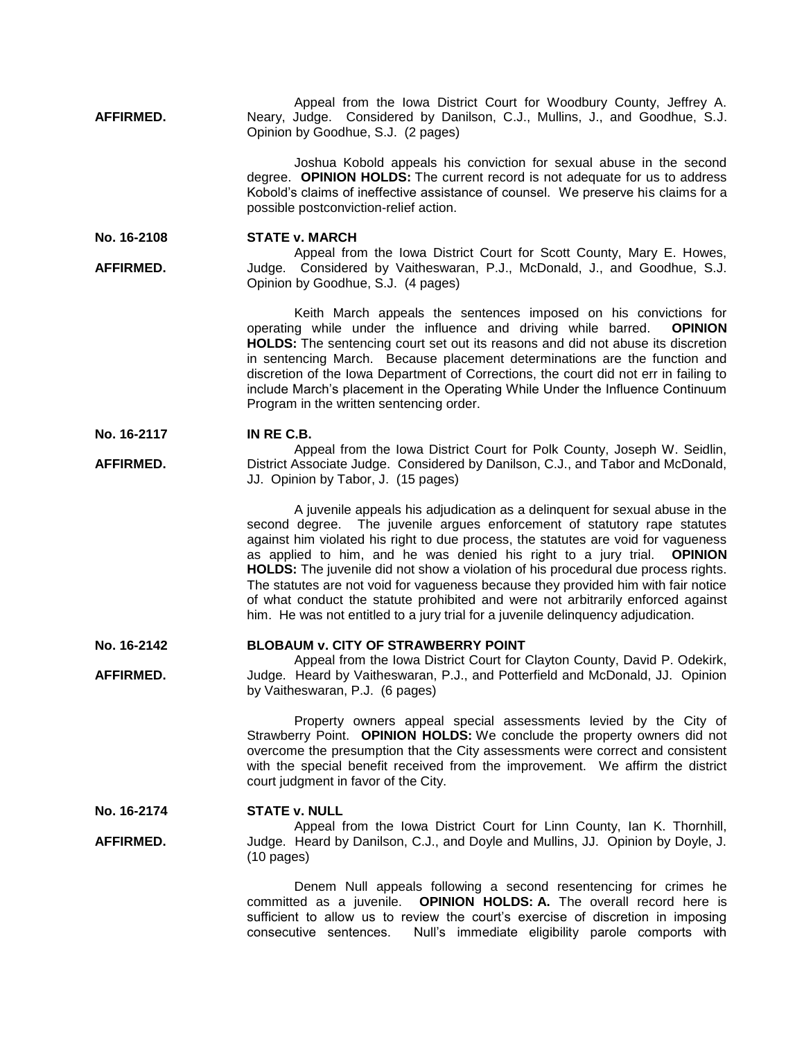**AFFIRMED.** Appeal from the Iowa District Court for Woodbury County, Jeffrey A. Neary, Judge. Considered by Danilson, C.J., Mullins, J., and Goodhue, S.J. Opinion by Goodhue, S.J. (2 pages)

> Joshua Kobold appeals his conviction for sexual abuse in the second degree. **OPINION HOLDS:** The current record is not adequate for us to address Kobold's claims of ineffective assistance of counsel. We preserve his claims for a possible postconviction-relief action.

**No. 16-2108 STATE v. MARCH**

**AFFIRMED.** Appeal from the Iowa District Court for Scott County, Mary E. Howes, Judge. Considered by Vaitheswaran, P.J., McDonald, J., and Goodhue, S.J. Opinion by Goodhue, S.J. (4 pages)

> Keith March appeals the sentences imposed on his convictions for operating while under the influence and driving while barred. **OPINION HOLDS:** The sentencing court set out its reasons and did not abuse its discretion in sentencing March. Because placement determinations are the function and discretion of the Iowa Department of Corrections, the court did not err in failing to include March's placement in the Operating While Under the Influence Continuum Program in the written sentencing order.

**No. 16-2117 IN RE C.B.**

**AFFIRMED.** Appeal from the Iowa District Court for Polk County, Joseph W. Seidlin, District Associate Judge. Considered by Danilson, C.J., and Tabor and McDonald, JJ. Opinion by Tabor, J. (15 pages)

> A juvenile appeals his adjudication as a delinquent for sexual abuse in the second degree. The juvenile argues enforcement of statutory rape statutes against him violated his right to due process, the statutes are void for vagueness as applied to him, and he was denied his right to a jury trial. **OPINION HOLDS:** The juvenile did not show a violation of his procedural due process rights. The statutes are not void for vagueness because they provided him with fair notice of what conduct the statute prohibited and were not arbitrarily enforced against him. He was not entitled to a jury trial for a juvenile delinquency adjudication.

#### **No. 16-2142 BLOBAUM v. CITY OF STRAWBERRY POINT**

**AFFIRMED.** Appeal from the Iowa District Court for Clayton County, David P. Odekirk, Judge. Heard by Vaitheswaran, P.J., and Potterfield and McDonald, JJ. Opinion by Vaitheswaran, P.J. (6 pages)

> Property owners appeal special assessments levied by the City of Strawberry Point. **OPINION HOLDS:** We conclude the property owners did not overcome the presumption that the City assessments were correct and consistent with the special benefit received from the improvement. We affirm the district court judgment in favor of the City.

#### **No. 16-2174 STATE v. NULL**

**AFFIRMED.** Appeal from the Iowa District Court for Linn County, Ian K. Thornhill, Judge. Heard by Danilson, C.J., and Doyle and Mullins, JJ. Opinion by Doyle, J. (10 pages)

> Denem Null appeals following a second resentencing for crimes he committed as a juvenile. **OPINION HOLDS: A.** The overall record here is sufficient to allow us to review the court's exercise of discretion in imposing consecutive sentences. Null's immediate eligibility parole comports with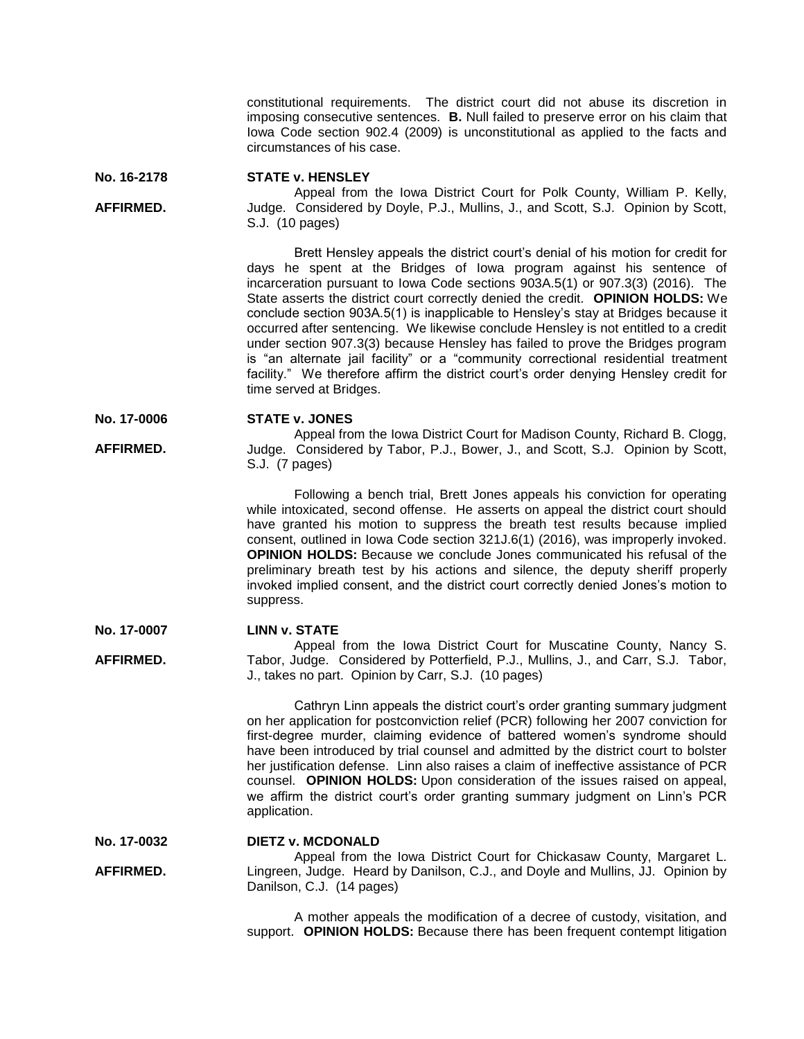constitutional requirements. The district court did not abuse its discretion in imposing consecutive sentences. **B.** Null failed to preserve error on his claim that Iowa Code section 902.4 (2009) is unconstitutional as applied to the facts and circumstances of his case.

**No. 16-2178 STATE v. HENSLEY**

**AFFIRMED.**

Appeal from the Iowa District Court for Polk County, William P. Kelly, Judge. Considered by Doyle, P.J., Mullins, J., and Scott, S.J. Opinion by Scott, S.J. (10 pages)

Brett Hensley appeals the district court's denial of his motion for credit for days he spent at the Bridges of Iowa program against his sentence of incarceration pursuant to Iowa Code sections 903A.5(1) or 907.3(3) (2016). The State asserts the district court correctly denied the credit. **OPINION HOLDS:** We conclude section 903A.5(1) is inapplicable to Hensley's stay at Bridges because it occurred after sentencing. We likewise conclude Hensley is not entitled to a credit under section 907.3(3) because Hensley has failed to prove the Bridges program is "an alternate jail facility" or a "community correctional residential treatment facility." We therefore affirm the district court's order denying Hensley credit for time served at Bridges.

**No. 17-0006 STATE v. JONES**

**AFFIRMED.** Appeal from the Iowa District Court for Madison County, Richard B. Clogg, Judge. Considered by Tabor, P.J., Bower, J., and Scott, S.J. Opinion by Scott, S.J. (7 pages)

> Following a bench trial, Brett Jones appeals his conviction for operating while intoxicated, second offense. He asserts on appeal the district court should have granted his motion to suppress the breath test results because implied consent, outlined in Iowa Code section 321J.6(1) (2016), was improperly invoked. **OPINION HOLDS:** Because we conclude Jones communicated his refusal of the preliminary breath test by his actions and silence, the deputy sheriff properly invoked implied consent, and the district court correctly denied Jones's motion to suppress.

**No. 17-0007 LINN v. STATE**

**AFFIRMED.** Appeal from the Iowa District Court for Muscatine County, Nancy S. Tabor, Judge. Considered by Potterfield, P.J., Mullins, J., and Carr, S.J. Tabor, J., takes no part. Opinion by Carr, S.J. (10 pages)

> Cathryn Linn appeals the district court's order granting summary judgment on her application for postconviction relief (PCR) following her 2007 conviction for first-degree murder, claiming evidence of battered women's syndrome should have been introduced by trial counsel and admitted by the district court to bolster her justification defense. Linn also raises a claim of ineffective assistance of PCR counsel. **OPINION HOLDS:** Upon consideration of the issues raised on appeal, we affirm the district court's order granting summary judgment on Linn's PCR application.

**No. 17-0032 AFFIRMED. DIETZ v. MCDONALD** Appeal from the Iowa District Court for Chickasaw County, Margaret L. Lingreen, Judge. Heard by Danilson, C.J., and Doyle and Mullins, JJ. Opinion by Danilson, C.J. (14 pages)

> A mother appeals the modification of a decree of custody, visitation, and support. **OPINION HOLDS:** Because there has been frequent contempt litigation

- 
-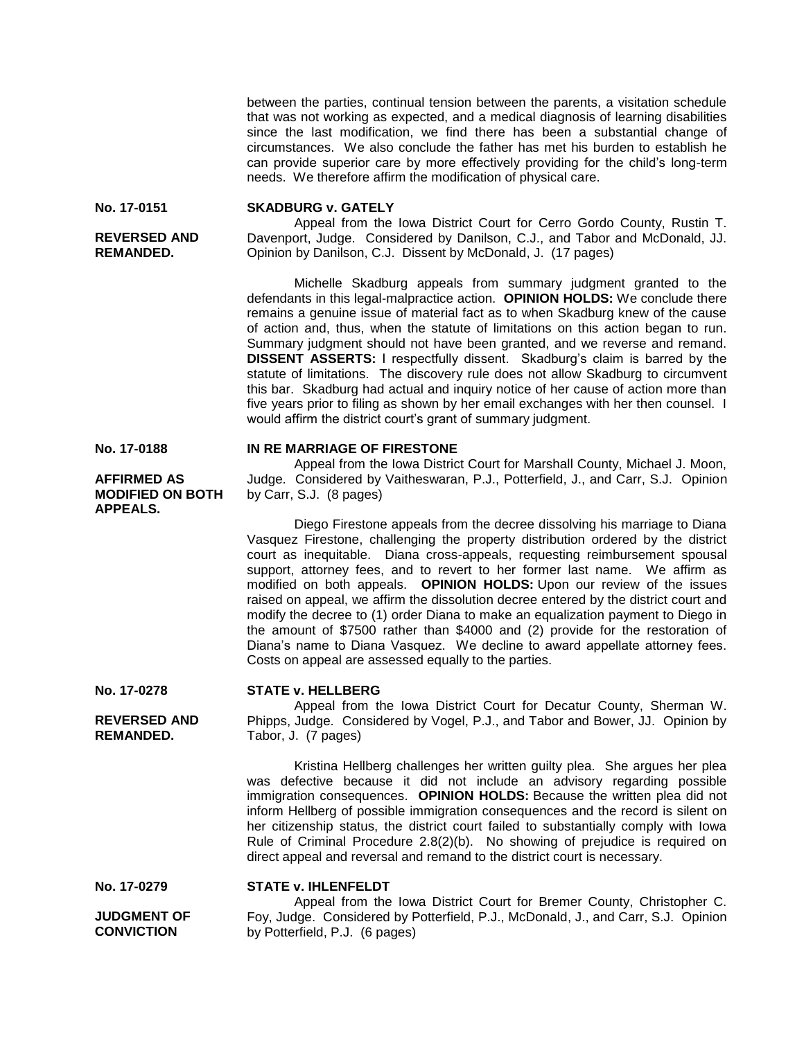between the parties, continual tension between the parents, a visitation schedule that was not working as expected, and a medical diagnosis of learning disabilities since the last modification, we find there has been a substantial change of circumstances. We also conclude the father has met his burden to establish he can provide superior care by more effectively providing for the child's long-term needs. We therefore affirm the modification of physical care.

**No. 17-0151**

**REVERSED AND REMANDED.**

# **SKADBURG v. GATELY**

Appeal from the Iowa District Court for Cerro Gordo County, Rustin T. Davenport, Judge. Considered by Danilson, C.J., and Tabor and McDonald, JJ. Opinion by Danilson, C.J. Dissent by McDonald, J. (17 pages)

Michelle Skadburg appeals from summary judgment granted to the defendants in this legal-malpractice action. **OPINION HOLDS:** We conclude there remains a genuine issue of material fact as to when Skadburg knew of the cause of action and, thus, when the statute of limitations on this action began to run. Summary judgment should not have been granted, and we reverse and remand. **DISSENT ASSERTS:** I respectfully dissent. Skadburg's claim is barred by the statute of limitations. The discovery rule does not allow Skadburg to circumvent this bar. Skadburg had actual and inquiry notice of her cause of action more than five years prior to filing as shown by her email exchanges with her then counsel. I would affirm the district court's grant of summary judgment.

## **IN RE MARRIAGE OF FIRESTONE**

Appeal from the Iowa District Court for Marshall County, Michael J. Moon, Judge. Considered by Vaitheswaran, P.J., Potterfield, J., and Carr, S.J. Opinion by Carr, S.J. (8 pages)

Diego Firestone appeals from the decree dissolving his marriage to Diana Vasquez Firestone, challenging the property distribution ordered by the district court as inequitable. Diana cross-appeals, requesting reimbursement spousal support, attorney fees, and to revert to her former last name. We affirm as modified on both appeals. **OPINION HOLDS:** Upon our review of the issues raised on appeal, we affirm the dissolution decree entered by the district court and modify the decree to (1) order Diana to make an equalization payment to Diego in the amount of \$7500 rather than \$4000 and (2) provide for the restoration of Diana's name to Diana Vasquez. We decline to award appellate attorney fees. Costs on appeal are assessed equally to the parties.

# **STATE v. HELLBERG**

**STATE v. IHLENFELDT**

Appeal from the Iowa District Court for Decatur County, Sherman W. Phipps, Judge. Considered by Vogel, P.J., and Tabor and Bower, JJ. Opinion by Tabor, J. (7 pages)

Kristina Hellberg challenges her written guilty plea. She argues her plea was defective because it did not include an advisory regarding possible immigration consequences. **OPINION HOLDS:** Because the written plea did not inform Hellberg of possible immigration consequences and the record is silent on her citizenship status, the district court failed to substantially comply with Iowa Rule of Criminal Procedure 2.8(2)(b). No showing of prejudice is required on direct appeal and reversal and remand to the district court is necessary.

**No. 17-0279 JUDGMENT OF CONVICTION** 

Appeal from the Iowa District Court for Bremer County, Christopher C. Foy, Judge. Considered by Potterfield, P.J., McDonald, J., and Carr, S.J. Opinion by Potterfield, P.J. (6 pages)

**No. 17-0188**

## **AFFIRMED AS MODIFIED ON BOTH APPEALS.**

**No. 17-0278**

**REVERSED AND REMANDED.**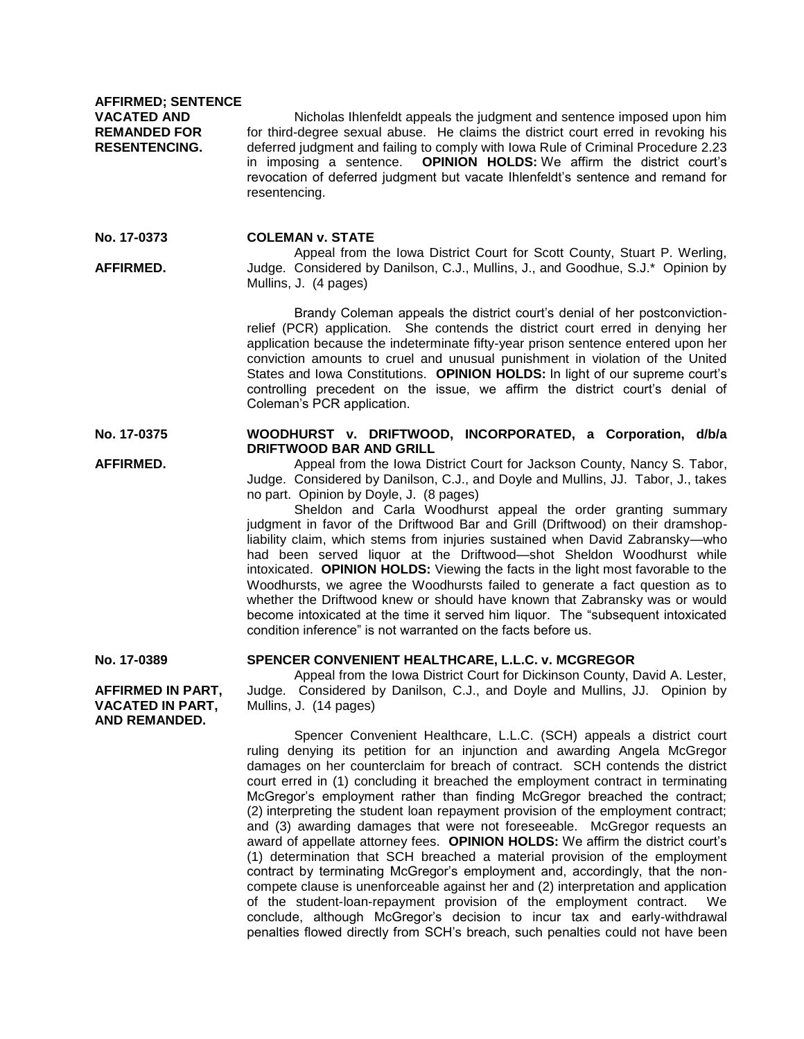**AFFIRMED; SENTENCE VACATED AND REMANDED FOR RESENTENCING.**

Nicholas Ihlenfeldt appeals the judgment and sentence imposed upon him for third-degree sexual abuse. He claims the district court erred in revoking his deferred judgment and failing to comply with Iowa Rule of Criminal Procedure 2.23 in imposing a sentence. **OPINION HOLDS:** We affirm the district court's revocation of deferred judgment but vacate Ihlenfeldt's sentence and remand for resentencing.

**No. 17-0373 COLEMAN v. STATE**

**AFFIRMED.**

**AFFIRMED.**

Appeal from the Iowa District Court for Scott County, Stuart P. Werling, Judge. Considered by Danilson, C.J., Mullins, J., and Goodhue, S.J.\* Opinion by Mullins, J. (4 pages)

Brandy Coleman appeals the district court's denial of her postconvictionrelief (PCR) application. She contends the district court erred in denying her application because the indeterminate fifty-year prison sentence entered upon her conviction amounts to cruel and unusual punishment in violation of the United States and Iowa Constitutions. **OPINION HOLDS:** In light of our supreme court's controlling precedent on the issue, we affirm the district court's denial of Coleman's PCR application.

### **No. 17-0375 WOODHURST v. DRIFTWOOD, INCORPORATED, a Corporation, d/b/a DRIFTWOOD BAR AND GRILL**

Appeal from the Iowa District Court for Jackson County, Nancy S. Tabor, Judge. Considered by Danilson, C.J., and Doyle and Mullins, JJ. Tabor, J., takes no part. Opinion by Doyle, J. (8 pages)

Sheldon and Carla Woodhurst appeal the order granting summary judgment in favor of the Driftwood Bar and Grill (Driftwood) on their dramshopliability claim, which stems from injuries sustained when David Zabransky—who had been served liquor at the Driftwood—shot Sheldon Woodhurst while intoxicated. **OPINION HOLDS:** Viewing the facts in the light most favorable to the Woodhursts, we agree the Woodhursts failed to generate a fact question as to whether the Driftwood knew or should have known that Zabransky was or would become intoxicated at the time it served him liquor. The "subsequent intoxicated condition inference" is not warranted on the facts before us.

**No. 17-0389**

**AFFIRMED IN PART, VACATED IN PART, AND REMANDED.**

### **SPENCER CONVENIENT HEALTHCARE, L.L.C. v. MCGREGOR**

Appeal from the Iowa District Court for Dickinson County, David A. Lester, Judge. Considered by Danilson, C.J., and Doyle and Mullins, JJ. Opinion by Mullins, J. (14 pages)

Spencer Convenient Healthcare, L.L.C. (SCH) appeals a district court ruling denying its petition for an injunction and awarding Angela McGregor damages on her counterclaim for breach of contract. SCH contends the district court erred in (1) concluding it breached the employment contract in terminating McGregor's employment rather than finding McGregor breached the contract; (2) interpreting the student loan repayment provision of the employment contract; and (3) awarding damages that were not foreseeable. McGregor requests an award of appellate attorney fees. **OPINION HOLDS:** We affirm the district court's (1) determination that SCH breached a material provision of the employment contract by terminating McGregor's employment and, accordingly, that the noncompete clause is unenforceable against her and (2) interpretation and application of the student-loan-repayment provision of the employment contract. We conclude, although McGregor's decision to incur tax and early-withdrawal penalties flowed directly from SCH's breach, such penalties could not have been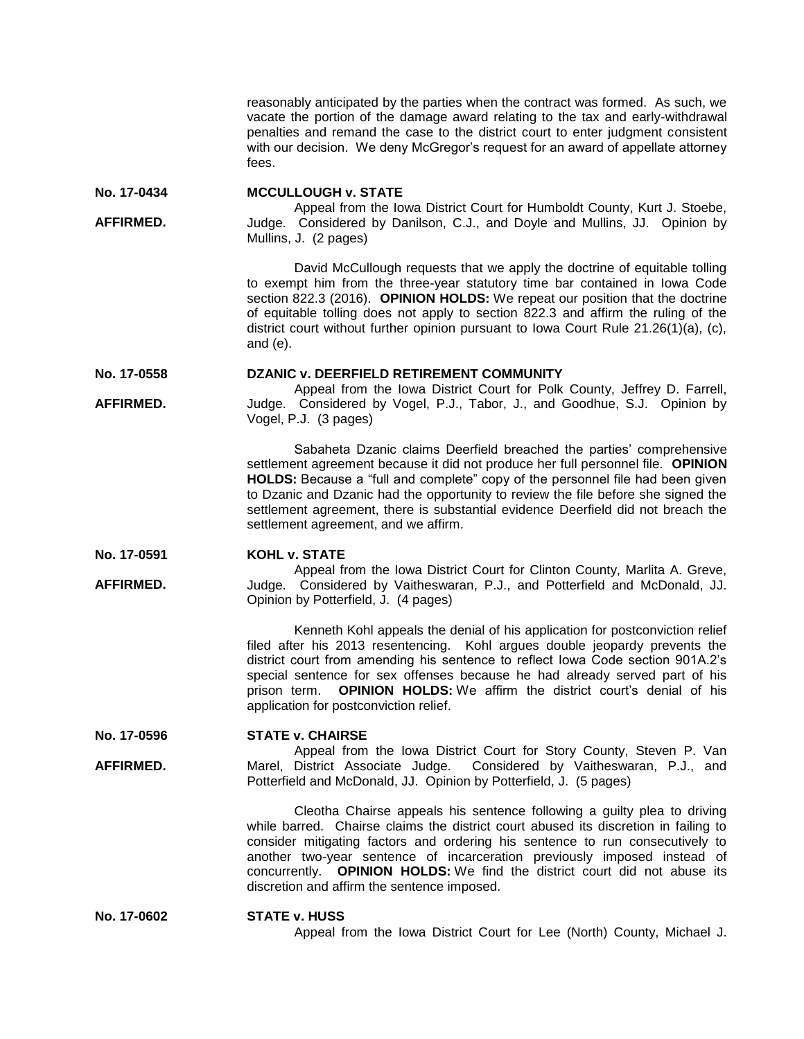reasonably anticipated by the parties when the contract was formed. As such, we vacate the portion of the damage award relating to the tax and early-withdrawal penalties and remand the case to the district court to enter judgment consistent with our decision. We deny McGregor's request for an award of appellate attorney fees.

**No. 17-0434 MCCULLOUGH v. STATE**

**AFFIRMED.** Appeal from the Iowa District Court for Humboldt County, Kurt J. Stoebe, Judge. Considered by Danilson, C.J., and Doyle and Mullins, JJ. Opinion by Mullins, J. (2 pages)

> David McCullough requests that we apply the doctrine of equitable tolling to exempt him from the three-year statutory time bar contained in Iowa Code section 822.3 (2016). **OPINION HOLDS:** We repeat our position that the doctrine of equitable tolling does not apply to section 822.3 and affirm the ruling of the district court without further opinion pursuant to Iowa Court Rule 21.26(1)(a), (c), and (e).

**No. 17-0558 DZANIC v. DEERFIELD RETIREMENT COMMUNITY**

**AFFIRMED.** Appeal from the Iowa District Court for Polk County, Jeffrey D. Farrell, Judge. Considered by Vogel, P.J., Tabor, J., and Goodhue, S.J. Opinion by Vogel, P.J. (3 pages)

> Sabaheta Dzanic claims Deerfield breached the parties' comprehensive settlement agreement because it did not produce her full personnel file. **OPINION HOLDS:** Because a "full and complete" copy of the personnel file had been given to Dzanic and Dzanic had the opportunity to review the file before she signed the settlement agreement, there is substantial evidence Deerfield did not breach the settlement agreement, and we affirm.

**No. 17-0591 KOHL v. STATE**

**AFFIRMED.**

Appeal from the Iowa District Court for Clinton County, Marlita A. Greve, Judge. Considered by Vaitheswaran, P.J., and Potterfield and McDonald, JJ. Opinion by Potterfield, J. (4 pages)

Kenneth Kohl appeals the denial of his application for postconviction relief filed after his 2013 resentencing. Kohl argues double jeopardy prevents the district court from amending his sentence to reflect Iowa Code section 901A.2's special sentence for sex offenses because he had already served part of his prison term. **OPINION HOLDS:** We affirm the district court's denial of his application for postconviction relief.

**No. 17-0596 STATE v. CHAIRSE**

**AFFIRMED.** Appeal from the Iowa District Court for Story County, Steven P. Van Marel, District Associate Judge. Considered by Vaitheswaran, P.J., and Potterfield and McDonald, JJ. Opinion by Potterfield, J. (5 pages)

> Cleotha Chairse appeals his sentence following a guilty plea to driving while barred. Chairse claims the district court abused its discretion in failing to consider mitigating factors and ordering his sentence to run consecutively to another two-year sentence of incarceration previously imposed instead of concurrently. **OPINION HOLDS:** We find the district court did not abuse its discretion and affirm the sentence imposed.

**No. 17-0602 STATE v. HUSS** Appeal from the Iowa District Court for Lee (North) County, Michael J.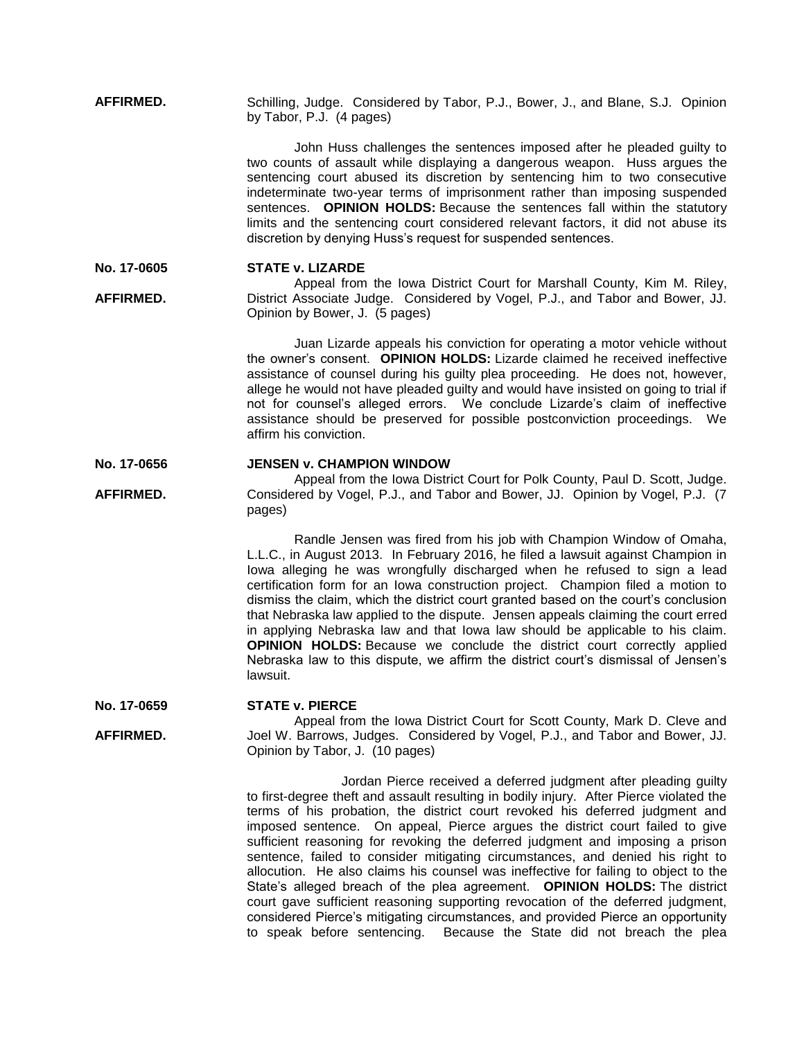**AFFIRMED.** Schilling, Judge. Considered by Tabor, P.J., Bower, J., and Blane, S.J. Opinion by Tabor, P.J. (4 pages)

> John Huss challenges the sentences imposed after he pleaded guilty to two counts of assault while displaying a dangerous weapon. Huss argues the sentencing court abused its discretion by sentencing him to two consecutive indeterminate two-year terms of imprisonment rather than imposing suspended sentences. **OPINION HOLDS:** Because the sentences fall within the statutory limits and the sentencing court considered relevant factors, it did not abuse its discretion by denying Huss's request for suspended sentences.

#### **No. 17-0605 STATE v. LIZARDE**

**AFFIRMED.** Appeal from the Iowa District Court for Marshall County, Kim M. Riley, District Associate Judge. Considered by Vogel, P.J., and Tabor and Bower, JJ. Opinion by Bower, J. (5 pages)

> Juan Lizarde appeals his conviction for operating a motor vehicle without the owner's consent. **OPINION HOLDS:** Lizarde claimed he received ineffective assistance of counsel during his guilty plea proceeding. He does not, however, allege he would not have pleaded guilty and would have insisted on going to trial if not for counsel's alleged errors. We conclude Lizarde's claim of ineffective assistance should be preserved for possible postconviction proceedings. We affirm his conviction.

#### **No. 17-0656 JENSEN v. CHAMPION WINDOW**

**AFFIRMED.** Appeal from the Iowa District Court for Polk County, Paul D. Scott, Judge. Considered by Vogel, P.J., and Tabor and Bower, JJ. Opinion by Vogel, P.J. (7 pages)

> Randle Jensen was fired from his job with Champion Window of Omaha, L.L.C., in August 2013. In February 2016, he filed a lawsuit against Champion in Iowa alleging he was wrongfully discharged when he refused to sign a lead certification form for an Iowa construction project. Champion filed a motion to dismiss the claim, which the district court granted based on the court's conclusion that Nebraska law applied to the dispute. Jensen appeals claiming the court erred in applying Nebraska law and that Iowa law should be applicable to his claim. **OPINION HOLDS:** Because we conclude the district court correctly applied Nebraska law to this dispute, we affirm the district court's dismissal of Jensen's lawsuit.

#### **No. 17-0659 STATE v. PIERCE**

**AFFIRMED.**

Appeal from the Iowa District Court for Scott County, Mark D. Cleve and Joel W. Barrows, Judges. Considered by Vogel, P.J., and Tabor and Bower, JJ. Opinion by Tabor, J. (10 pages)

Jordan Pierce received a deferred judgment after pleading guilty to first-degree theft and assault resulting in bodily injury. After Pierce violated the terms of his probation, the district court revoked his deferred judgment and imposed sentence. On appeal, Pierce argues the district court failed to give sufficient reasoning for revoking the deferred judgment and imposing a prison sentence, failed to consider mitigating circumstances, and denied his right to allocution. He also claims his counsel was ineffective for failing to object to the State's alleged breach of the plea agreement. **OPINION HOLDS:** The district court gave sufficient reasoning supporting revocation of the deferred judgment, considered Pierce's mitigating circumstances, and provided Pierce an opportunity to speak before sentencing. Because the State did not breach the plea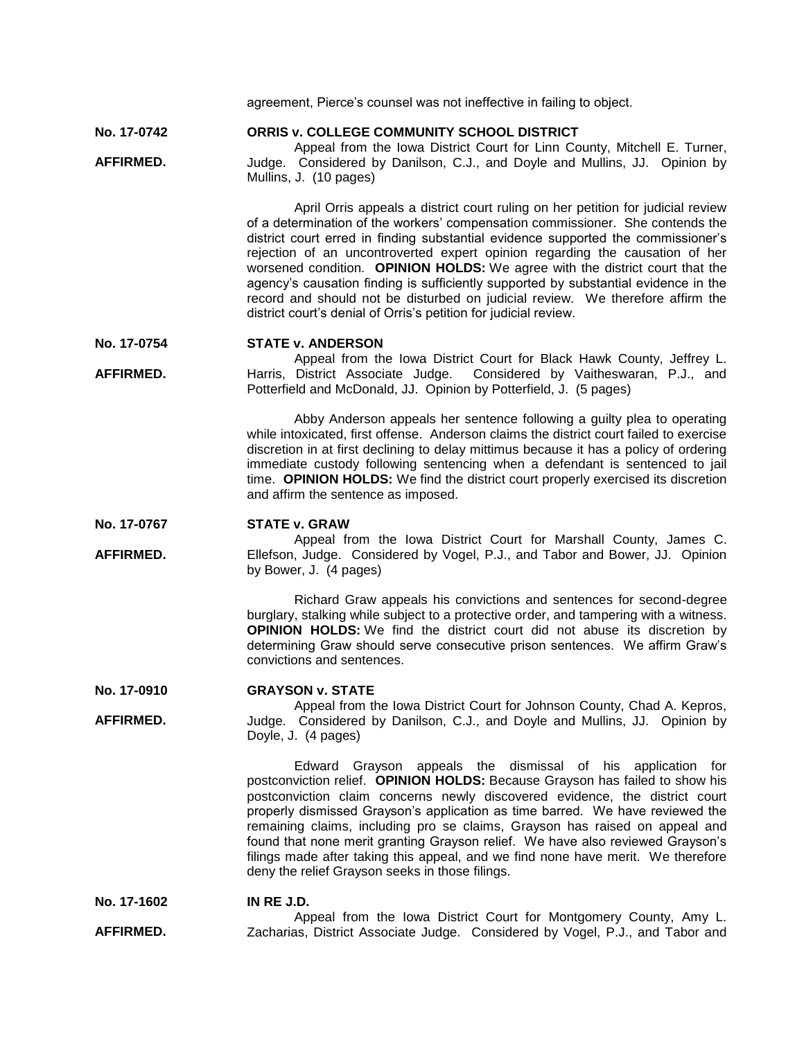|                                 | agreement, Pierce's counsel was not ineffective in failing to object.                                                                                                                                                                                                                                                                                                                                                                                                                                                                                                                                                                                               |
|---------------------------------|---------------------------------------------------------------------------------------------------------------------------------------------------------------------------------------------------------------------------------------------------------------------------------------------------------------------------------------------------------------------------------------------------------------------------------------------------------------------------------------------------------------------------------------------------------------------------------------------------------------------------------------------------------------------|
| No. 17-0742<br><b>AFFIRMED.</b> | ORRIS v. COLLEGE COMMUNITY SCHOOL DISTRICT<br>Appeal from the Iowa District Court for Linn County, Mitchell E. Turner,<br>Judge. Considered by Danilson, C.J., and Doyle and Mullins, JJ. Opinion by<br>Mullins, J. (10 pages)                                                                                                                                                                                                                                                                                                                                                                                                                                      |
|                                 | April Orris appeals a district court ruling on her petition for judicial review<br>of a determination of the workers' compensation commissioner. She contends the<br>district court erred in finding substantial evidence supported the commissioner's<br>rejection of an uncontroverted expert opinion regarding the causation of her<br>worsened condition. OPINION HOLDS: We agree with the district court that the<br>agency's causation finding is sufficiently supported by substantial evidence in the<br>record and should not be disturbed on judicial review. We therefore affirm the<br>district court's denial of Orris's petition for judicial review. |
| No. 17-0754                     | <b>STATE v. ANDERSON</b>                                                                                                                                                                                                                                                                                                                                                                                                                                                                                                                                                                                                                                            |
| AFFIRMED.                       | Appeal from the Iowa District Court for Black Hawk County, Jeffrey L.<br>Harris, District Associate Judge. Considered by Vaitheswaran, P.J., and<br>Potterfield and McDonald, JJ. Opinion by Potterfield, J. (5 pages)                                                                                                                                                                                                                                                                                                                                                                                                                                              |
|                                 | Abby Anderson appeals her sentence following a guilty plea to operating<br>while intoxicated, first offense. Anderson claims the district court failed to exercise<br>discretion in at first declining to delay mittimus because it has a policy of ordering<br>immediate custody following sentencing when a defendant is sentenced to jail<br>time. OPINION HOLDS: We find the district court properly exercised its discretion<br>and affirm the sentence as imposed.                                                                                                                                                                                            |
|                                 |                                                                                                                                                                                                                                                                                                                                                                                                                                                                                                                                                                                                                                                                     |
| No. 17-0767                     | <b>STATE v. GRAW</b>                                                                                                                                                                                                                                                                                                                                                                                                                                                                                                                                                                                                                                                |
| AFFIRMED.                       | Appeal from the Iowa District Court for Marshall County, James C.<br>Ellefson, Judge. Considered by Vogel, P.J., and Tabor and Bower, JJ. Opinion<br>by Bower, J. (4 pages)                                                                                                                                                                                                                                                                                                                                                                                                                                                                                         |
|                                 | Richard Graw appeals his convictions and sentences for second-degree<br>burglary, stalking while subject to a protective order, and tampering with a witness.<br><b>OPINION HOLDS:</b> We find the district court did not abuse its discretion by<br>determining Graw should serve consecutive prison sentences. We affirm Graw's<br>convictions and sentences.                                                                                                                                                                                                                                                                                                     |
| No. 17-0910                     | <b>GRAYSON v. STATE</b>                                                                                                                                                                                                                                                                                                                                                                                                                                                                                                                                                                                                                                             |
| AFFIRMED.                       | Appeal from the Iowa District Court for Johnson County, Chad A. Kepros,<br>Judge. Considered by Danilson, C.J., and Doyle and Mullins, JJ. Opinion by<br>Doyle, J. (4 pages)                                                                                                                                                                                                                                                                                                                                                                                                                                                                                        |
|                                 | Edward Grayson appeals the dismissal of his application for<br>postconviction relief. OPINION HOLDS: Because Grayson has failed to show his<br>postconviction claim concerns newly discovered evidence, the district court<br>properly dismissed Grayson's application as time barred. We have reviewed the<br>remaining claims, including pro se claims, Grayson has raised on appeal and<br>found that none merit granting Grayson relief. We have also reviewed Grayson's<br>filings made after taking this appeal, and we find none have merit. We therefore<br>deny the relief Grayson seeks in those filings.                                                 |
| No. 17-1602                     | IN RE J.D.<br>Appeal from the Iowa District Court for Montgomery County, Amy L.                                                                                                                                                                                                                                                                                                                                                                                                                                                                                                                                                                                     |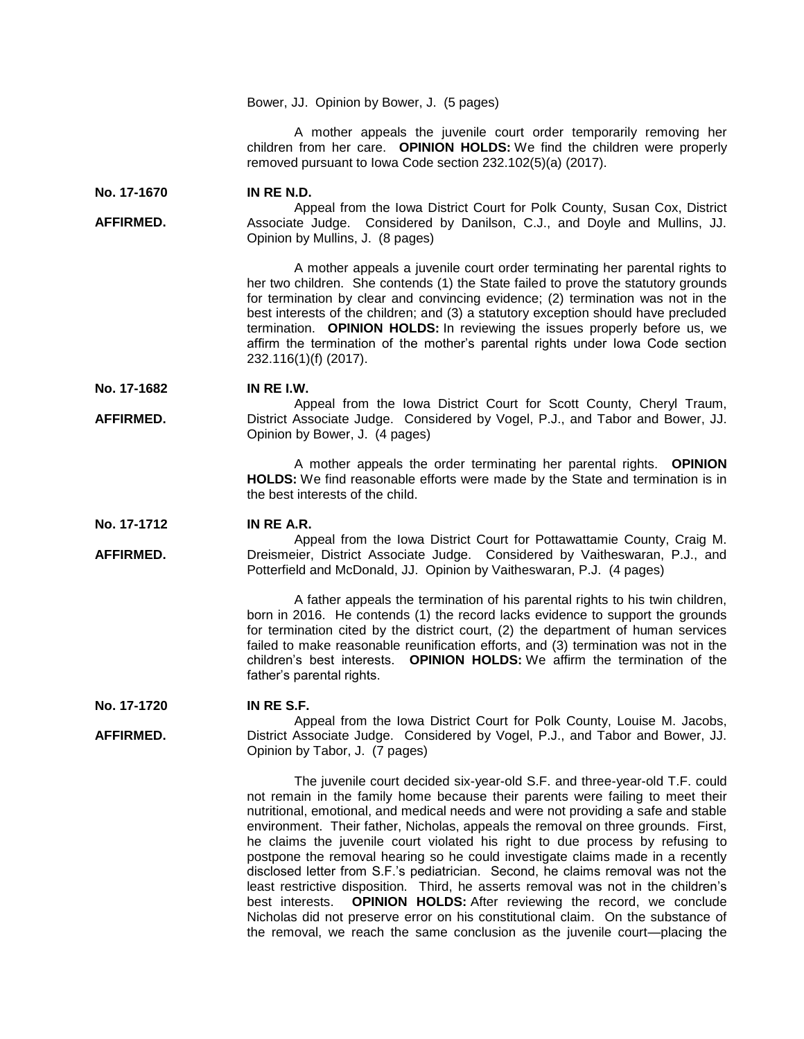Bower, JJ. Opinion by Bower, J. (5 pages)

A mother appeals the juvenile court order temporarily removing her children from her care. **OPINION HOLDS:** We find the children were properly removed pursuant to Iowa Code section 232.102(5)(a) (2017).

**No. 17-1670 IN RE N.D.**

**AFFIRMED.** Appeal from the Iowa District Court for Polk County, Susan Cox, District Associate Judge. Considered by Danilson, C.J., and Doyle and Mullins, JJ. Opinion by Mullins, J. (8 pages)

> A mother appeals a juvenile court order terminating her parental rights to her two children. She contends (1) the State failed to prove the statutory grounds for termination by clear and convincing evidence; (2) termination was not in the best interests of the children; and (3) a statutory exception should have precluded termination. **OPINION HOLDS:** In reviewing the issues properly before us, we affirm the termination of the mother's parental rights under Iowa Code section 232.116(1)(f) (2017).

**No. 17-1682 IN RE I.W.**

**AFFIRMED.** Appeal from the Iowa District Court for Scott County, Cheryl Traum, District Associate Judge. Considered by Vogel, P.J., and Tabor and Bower, JJ. Opinion by Bower, J. (4 pages)

> A mother appeals the order terminating her parental rights. **OPINION HOLDS:** We find reasonable efforts were made by the State and termination is in the best interests of the child.

**No. 17-1712 IN RE A.R.**

**AFFIRMED.** Appeal from the Iowa District Court for Pottawattamie County, Craig M. Dreismeier, District Associate Judge. Considered by Vaitheswaran, P.J., and Potterfield and McDonald, JJ. Opinion by Vaitheswaran, P.J. (4 pages)

> A father appeals the termination of his parental rights to his twin children, born in 2016. He contends (1) the record lacks evidence to support the grounds for termination cited by the district court, (2) the department of human services failed to make reasonable reunification efforts, and (3) termination was not in the children's best interests. **OPINION HOLDS:** We affirm the termination of the father's parental rights.

**No. 17-1720 IN RE S.F.**

**AFFIRMED.**

Appeal from the Iowa District Court for Polk County, Louise M. Jacobs, District Associate Judge. Considered by Vogel, P.J., and Tabor and Bower, JJ. Opinion by Tabor, J. (7 pages)

> The juvenile court decided six-year-old S.F. and three-year-old T.F. could not remain in the family home because their parents were failing to meet their nutritional, emotional, and medical needs and were not providing a safe and stable environment. Their father, Nicholas, appeals the removal on three grounds. First, he claims the juvenile court violated his right to due process by refusing to postpone the removal hearing so he could investigate claims made in a recently disclosed letter from S.F.'s pediatrician. Second, he claims removal was not the least restrictive disposition. Third, he asserts removal was not in the children's best interests. **OPINION HOLDS:** After reviewing the record, we conclude Nicholas did not preserve error on his constitutional claim. On the substance of the removal, we reach the same conclusion as the juvenile court—placing the